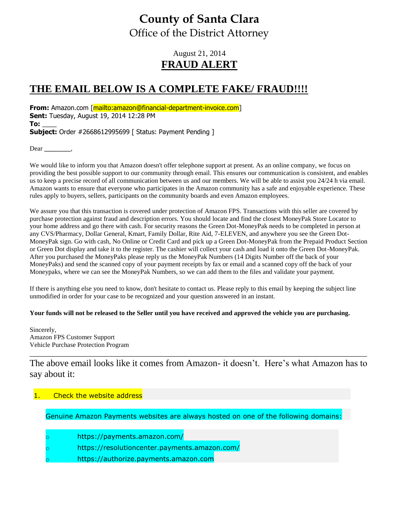# **County of Santa Clara** Office of the District Attorney

### August 21, 2014 **FRAUD ALERT**

## **THE EMAIL BELOW IS A COMPLETE FAKE/ FRAUD!!!!**

**From:** Amazon.com [mailto:amazon@financial-department-invoice.com] **Sent:** Tuesday, August 19, 2014 12:28 PM **To:** \_\_\_\_ **Subject:** Order #2668612995699 | Status: Payment Pending ]

Dear **\_\_\_\_\_\_\_\_**,

We would like to inform you that Amazon doesn't offer telephone support at present. As an online company, we focus on providing the best possible support to our community through email. This ensures our communication is consistent, and enables us to keep a precise record of all communication between us and our members. We will be able to assist you 24/24 h via email. Amazon wants to ensure that everyone who participates in the Amazon community has a safe and enjoyable experience. These rules apply to buyers, sellers, participants on the community boards and even Amazon employees.

We assure you that this transaction is covered under protection of Amazon FPS. Transactions with this seller are covered by purchase protection against fraud and description errors. You should locate and find the closest MoneyPak Store Locator to your home address and go there with cash. For security reasons the Green Dot-MoneyPak needs to be completed in person at any CVS/Pharmacy, Dollar General, Kmart, Family Dollar, Rite Aid, 7-ELEVEN, and anywhere you see the Green Dot-MoneyPak sign. Go with cash, No Online or Credit Card and pick up a Green Dot-MoneyPak from the Prepaid Product Section or Green Dot display and take it to the register. The cashier will collect your cash and load it onto the Green Dot-MoneyPak. After you purchased the MoneyPaks please reply us the MoneyPak Numbers (14 Digits Number off the back of your MoneyPaks) and send the scanned copy of your payment receipts by fax or email and a scanned copy off the back of your Moneypaks, where we can see the MoneyPak Numbers, so we can add them to the files and validate your payment.

If there is anything else you need to know, don't hesitate to contact us. Please reply to this email by keeping the subject line unmodified in order for your case to be recognized and your question answered in an instant.

#### **Your funds will not be released to the Seller until you have received and approved the vehicle you are purchasing.**

Sincerely, Amazon FPS Customer Support Vehicle Purchase Protection Program

The above email looks like it comes from Amazon- it doesn't. Here's what Amazon has to say about it:

\_\_\_\_\_\_\_\_\_\_\_\_\_\_\_\_\_\_\_\_\_\_\_\_\_\_\_\_\_\_\_\_\_\_\_\_\_\_\_\_\_\_\_\_\_\_\_\_\_\_\_\_\_\_\_\_\_\_\_\_\_\_\_\_\_\_\_\_\_\_\_\_\_\_\_\_\_\_\_\_\_\_\_\_\_

### Check the website address

Genuine Amazon Payments websites are always hosted on one of the following domains:

- https://payments.amazon.com/
- https://resolutioncenter.payments.amazon.com/
- https://authorize.payments.amazon.com